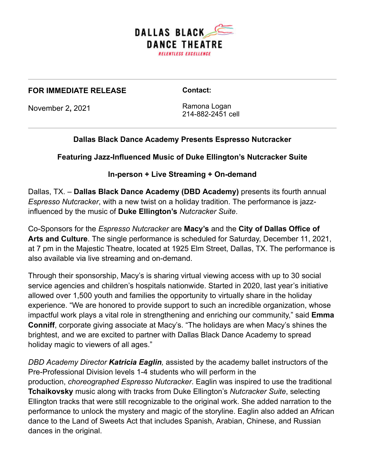

#### **FOR IMMEDIATE RELEASE**

**Contact:**

November 2**,** 2021

Ramona Logan 214-882-2451 cell

# **Dallas Black Dance Academy Presents Espresso Nutcracker**

**Featuring Jazz-Influenced Music of Duke Ellington's Nutcracker Suite**

## **In-person + Live Streaming + On-demand**

Dallas, TX. – **Dallas Black Dance Academy (DBD Academy)** presents its fourth annual *Espresso Nutcracker*, with a new twist on a holiday tradition. The performance is jazzinfluenced by the music of **Duke Ellington's** *Nutcracker Suite*.

Co-Sponsors for the *Espresso Nutcracker* are **Macy's** and the **City of Dallas Office of Arts and Culture**. The single performance is scheduled for Saturday, December 11, 2021, at 7 pm in the Majestic Theatre, located at 1925 Elm Street, Dallas, TX. The performance is also available via live streaming and on-demand.

Through their sponsorship, Macy's is sharing virtual viewing access with up to 30 social service agencies and children's hospitals nationwide. Started in 2020, last year's initiative allowed over 1,500 youth and families the opportunity to virtually share in the holiday experience. "We are honored to provide support to such an incredible organization, whose impactful work plays a vital role in strengthening and enriching our community," said **Emma Conniff**, corporate giving associate at Macy's. "The holidays are when Macy's shines the brightest, and we are excited to partner with Dallas Black Dance Academy to spread holiday magic to viewers of all ages."

*DBD Academy Director Katricia Eaglin,* assisted by the academy ballet instructors of the Pre-Professional Division levels 1-4 students who will perform in the production, *choreographed Espresso Nutcracker*. Eaglin was inspired to use the traditional **Tchaikovsky** music along with tracks from Duke Ellington's *Nutcracker Suite*, selecting Ellington tracks that were still recognizable to the original work. She added narration to the performance to unlock the mystery and magic of the storyline. Eaglin also added an African dance to the Land of Sweets Act that includes Spanish, Arabian, Chinese, and Russian dances in the original.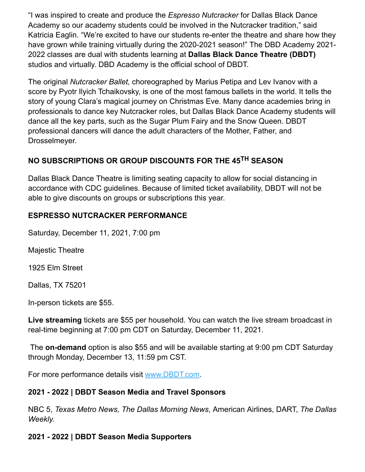"I was inspired to create and produce the *Espresso Nutcracker* for Dallas Black Dance Academy so our academy students could be involved in the Nutcracker tradition," said Katricia Eaglin. "We're excited to have our students re-enter the theatre and share how they have grown while training virtually during the 2020-2021 season!" The DBD Academy 2021- 2022 classes are dual with students learning at **Dallas Black Dance Theatre (DBDT)** studios and virtually. DBD Academy is the official school of DBDT.

The original *Nutcracker Ballet,* choreographed by Marius Petipa and Lev Ivanov with a score by Pyotr Ilyich Tchaikovsky, is one of the most famous ballets in the world. It tells the story of young Clara's magical journey on Christmas Eve. Many dance academies bring in professionals to dance key Nutcracker roles, but Dallas Black Dance Academy students will dance all the key parts, such as the Sugar Plum Fairy and the Snow Queen. DBDT professional dancers will dance the adult characters of the Mother, Father, and Drosselmeyer.

# **NO SUBSCRIPTIONS OR GROUP DISCOUNTS FOR THE 45TH SEASON**

Dallas Black Dance Theatre is limiting seating capacity to allow for social distancing in accordance with CDC guidelines. Because of limited ticket availability, DBDT will not be able to give discounts on groups or subscriptions this year.

### **ESPRESSO NUTCRACKER PERFORMANCE**

Saturday, December 11, 2021, 7:00 pm

Majestic Theatre

1925 Elm Street

Dallas, TX 75201

In-person tickets are \$55.

**Live streaming** tickets are \$55 per household. You can watch the live stream broadcast in real-time beginning at 7:00 pm CDT on Saturday, December 11, 2021.

The **on-demand** option is also \$55 and will be available starting at 9:00 pm CDT Saturday through Monday, December 13, 11:59 pm CST.

For more performance details visit [www.DBDT.com.](https://dbdt.com/)

### **2021 - 2022 | DBDT Season Media and Travel Sponsors**

NBC 5, *Texas Metro News, The Dallas Morning News*, American Airlines, DART, *The Dallas Weekly.*

### **2021 - 2022 | DBDT Season Media Supporters**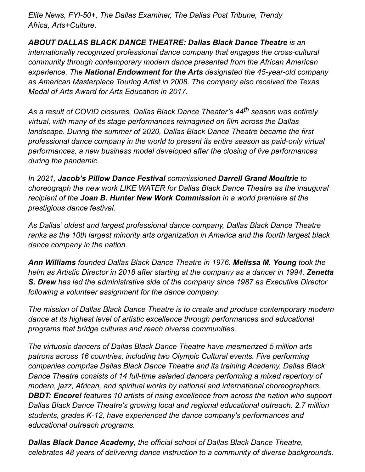*Elite News, FYI-50+, The Dallas Examiner, The Dallas Post Tribune, Trendy Africa, Arts+Culture*.

*ABOUT DALLAS BLACK DANCE THEATRE: Dallas Black Dance Theatre is an internationally recognized professional dance company that engages the cross-cultural community through contemporary modern dance presented from the African American experience. The National Endowment for the Arts designated the 45-year-old company as American Masterpiece Touring Artist in 2008. The company also received the Texas Medal of Arts Award for Arts Education in 2017.*

*As a result of COVID closures, Dallas Black Dance Theater's 44th season was entirely virtual, with many of its stage performances reimagined on film across the Dallas landscape. During the summer of 2020, Dallas Black Dance Theatre became the first professional dance company in the world to present its entire season as paid-only virtual performances, a new business model developed after the closing of live performances during the pandemic.* 

*In 2021, Jacob's Pillow Dance Festival commissioned Darrell Grand Moultrie to choreograph the new work LIKE WATER for Dallas Black Dance Theatre as the inaugural recipient of the Joan B. Hunter New Work Commission in a world premiere at the prestigious dance festival.* 

*As Dallas' oldest and largest professional dance company, Dallas Black Dance Theatre ranks as the 10th largest minority arts organization in America and the fourth largest black dance company in the nation.* 

*Ann Williams founded Dallas Black Dance Theatre in 1976. Melissa M. Young took the helm as Artistic Director in 2018 after starting at the company as a dancer in 1994. Zenetta S. Drew has led the administrative side of the company since 1987 as Executive Director following a volunteer assignment for the dance company.*

*The mission of Dallas Black Dance Theatre is to create and produce contemporary modern dance at its highest level of artistic excellence through performances and educational programs that bridge cultures and reach diverse communities.*

*The virtuosic dancers of Dallas Black Dance Theatre have mesmerized 5 million arts patrons across 16 countries, including two Olympic Cultural events. Five performing companies comprise Dallas Black Dance Theatre and its training Academy. Dallas Black Dance Theatre consists of 14 full-time salaried dancers performing a mixed repertory of modern, jazz, African, and spiritual works by national and international choreographers. DBDT: Encore! features 10 artists of rising excellence from across the nation who support Dallas Black Dance Theatre's growing local and regional educational outreach. 2.7 million students, grades K-12, have experienced the dance company's performances and educational outreach programs.* 

*Dallas Black Dance Academy, the official school of Dallas Black Dance Theatre, celebrates 48 years of delivering dance instruction to a community of diverse backgrounds.*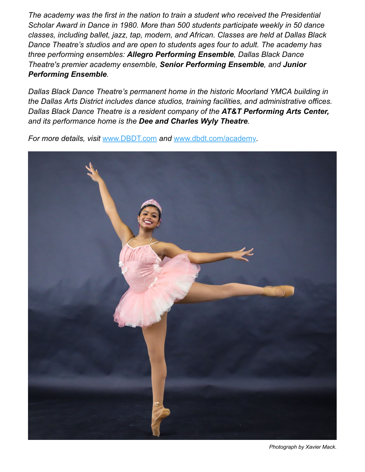*The academy was the first in the nation to train a student who received the Presidential Scholar Award in Dance in 1980. More than 500 students participate weekly in 50 dance classes, including ballet, jazz, tap, modern, and African. Classes are held at Dallas Black Dance Theatre's studios and are open to students ages four to adult. The academy has three performing ensembles: Allegro Performing Ensemble, Dallas Black Dance Theatre's premier academy ensemble, Senior Performing Ensemble, and Junior Performing Ensemble.*

*Dallas Black Dance Theatre's permanent home in the historic Moorland YMCA building in the Dallas Arts District includes dance studios, training facilities, and administrative offices. Dallas Black Dance Theatre is a resident company of the AT&T Performing Arts Center, and its performance home is the Dee and Charles Wyly Theatre.*

*For more details, visit* [www.DBDT.com](https://dbdt.com/) *and* [www.dbdt.com/academy](https://dbdt.com/academy/)*.*